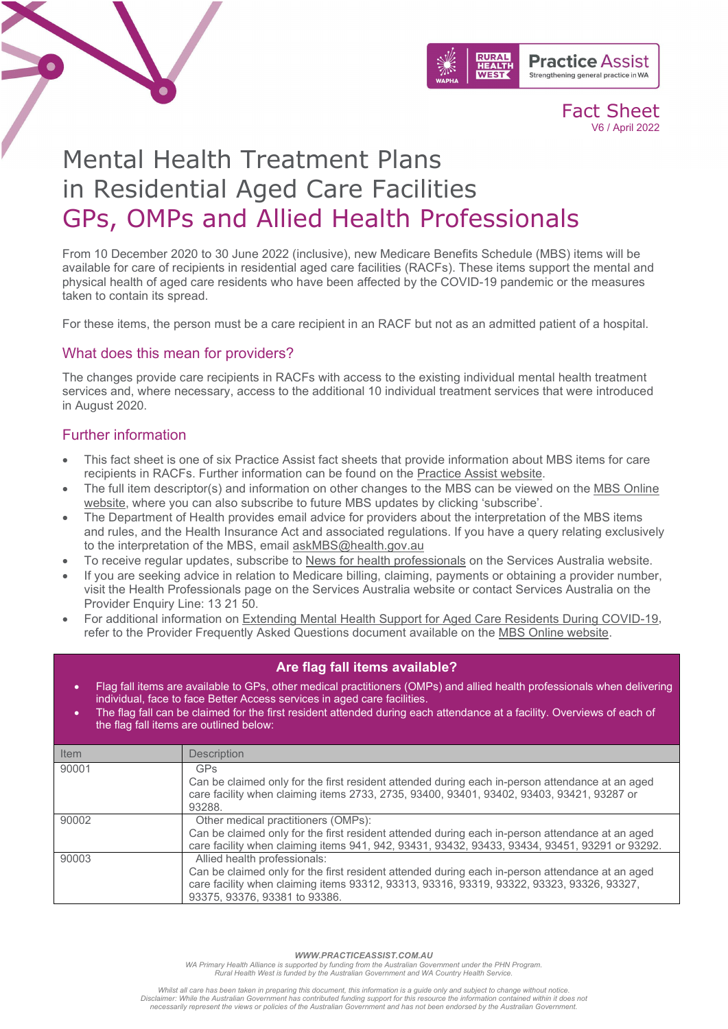

# Mental Health Treatment Plans in Residential Aged Care Facilities GPs, OMPs and Allied Health Professionals

From 10 December 2020 to 30 June 2022 (inclusive), new Medicare Benefits Schedule (MBS) items will be available for care of recipients in residential aged care facilities (RACFs). These items support the mental and physical health of aged care residents who have been affected by the COVID-19 pandemic or the measures taken to contain its spread.

For these items, the person must be a care recipient in an RACF but not as an admitted patient of a hospital.

#### What does this mean for providers?

The changes provide care recipients in RACFs with access to the existing individual mental health treatment services and, where necessary, access to the additional 10 individual treatment services that were introduced in August 2020.

### Further information

- This fact sheet is one of six Practice Assist fact sheets that provide information about MBS items for care recipients in RACFs. Further information can be found on the [Practice Assist website.](https://www.practiceassist.com.au/)
- The full item descriptor(s) and information on other changes to the MBS can be viewed on the MBS [Online](http://www.mbsonline.gov.au/)  [website,](http://www.mbsonline.gov.au/) where you can also subscribe to future MBS updates by clicking 'subscribe'.
- The Department of Health provides email advice for providers about the interpretation of the MBS items and rules, and the Health Insurance Act and associated regulations. If you have a query relating exclusively to the interpretation of the MBS, email [askMBS@health.gov.au](mailto:askMBS@health.gov.au)
- To receive regular updates, subscribe to [News for health professionals](https://www.humanservices.gov.au/organisations/health-professionals/news/all) on the Services Australia website.
- If you are seeking advice in relation to Medicare billing, claiming, payments or obtaining a provider number, visit the Health Professionals page on the Services Australia website or contact Services Australia on the Provider Enquiry Line: 13 21 50.
- For additional information on [Extending Mental Health Support for Aged Care Residents During COVID-19,](http://www.mbsonline.gov.au/internet/mbsonline/publishing.nsf/Content/factsheet-mental-health-aged-care) refer to the Provider Frequently Asked Questions document available on the MBS [Online website.](http://www.mbsonline.gov.au/)

#### **Are flag fall items available?**

- Flag fall items are available to GPs, other medical practitioners (OMPs) and allied health professionals when delivering individual, face to face Better Access services in aged care facilities.
- The flag fall can be claimed for the first resident attended during each attendance at a facility. Overviews of each of the flag fall items are outlined below:

| Item  | <b>Description</b>                                                                                                                                                                                                                                            |
|-------|---------------------------------------------------------------------------------------------------------------------------------------------------------------------------------------------------------------------------------------------------------------|
| 90001 | GP <sub>S</sub><br>Can be claimed only for the first resident attended during each in-person attendance at an aged<br>care facility when claiming items 2733, 2735, 93400, 93401, 93402, 93403, 93421, 93287 or<br>93288.                                     |
| 90002 | Other medical practitioners (OMPs):<br>Can be claimed only for the first resident attended during each in-person attendance at an aged<br>care facility when claiming items 941, 942, 93431, 93432, 93433, 93434, 93451, 93291 or 93292.                      |
| 90003 | Allied health professionals:<br>Can be claimed only for the first resident attended during each in-person attendance at an aged<br>care facility when claiming items 93312, 93313, 93316, 93319, 93322, 93323, 93326, 93327,<br>93375, 93376, 93381 to 93386. |

*WWW.PRACTICEASSIST.COM.AU*

WA Primary Health Alliance is supported by funding from the Australian Government under the PHN Program.<br>Rural Health West is funded by the Australian Government and WA Country Health Service.

Whilst all care has been taken in preparing this document, this information is a guide only and subject to change without notice.<br>Disclaimer: While the Australian Government has contributed funding support for this resourc *necessarily represent the views or policies of the Australian Government and has not been endorsed by the Australian Government.*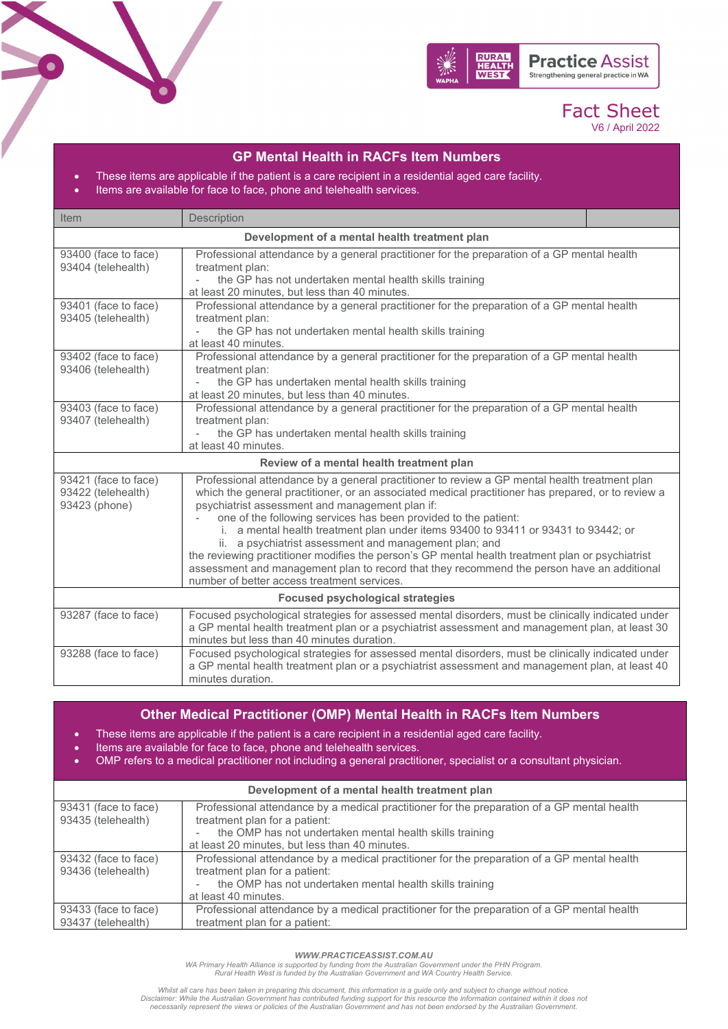

| <b>GP Mental Health in RACFs Item Numbers</b><br>These items are applicable if the patient is a care recipient in a residential aged care facility.<br>$\bullet$<br>Items are available for face to face, phone and telehealth services.<br>$\bullet$ |                                                                                                                                                                                                                                                                                                                                                                                                                                                                                                                                                                                                                                                                                                                            |  |
|-------------------------------------------------------------------------------------------------------------------------------------------------------------------------------------------------------------------------------------------------------|----------------------------------------------------------------------------------------------------------------------------------------------------------------------------------------------------------------------------------------------------------------------------------------------------------------------------------------------------------------------------------------------------------------------------------------------------------------------------------------------------------------------------------------------------------------------------------------------------------------------------------------------------------------------------------------------------------------------------|--|
| Item                                                                                                                                                                                                                                                  | Description                                                                                                                                                                                                                                                                                                                                                                                                                                                                                                                                                                                                                                                                                                                |  |
|                                                                                                                                                                                                                                                       | Development of a mental health treatment plan                                                                                                                                                                                                                                                                                                                                                                                                                                                                                                                                                                                                                                                                              |  |
| 93400 (face to face)<br>93404 (telehealth)                                                                                                                                                                                                            | Professional attendance by a general practitioner for the preparation of a GP mental health<br>treatment plan:<br>the GP has not undertaken mental health skills training<br>at least 20 minutes, but less than 40 minutes.                                                                                                                                                                                                                                                                                                                                                                                                                                                                                                |  |
| 93401 (face to face)<br>93405 (telehealth)                                                                                                                                                                                                            | Professional attendance by a general practitioner for the preparation of a GP mental health<br>treatment plan:<br>the GP has not undertaken mental health skills training<br>$\overline{a}$<br>at least 40 minutes.                                                                                                                                                                                                                                                                                                                                                                                                                                                                                                        |  |
| 93402 (face to face)<br>93406 (telehealth)                                                                                                                                                                                                            | Professional attendance by a general practitioner for the preparation of a GP mental health<br>treatment plan:<br>the GP has undertaken mental health skills training<br>at least 20 minutes, but less than 40 minutes.                                                                                                                                                                                                                                                                                                                                                                                                                                                                                                    |  |
| 93403 (face to face)<br>93407 (telehealth)                                                                                                                                                                                                            | Professional attendance by a general practitioner for the preparation of a GP mental health<br>treatment plan:<br>the GP has undertaken mental health skills training<br>at least 40 minutes.                                                                                                                                                                                                                                                                                                                                                                                                                                                                                                                              |  |
|                                                                                                                                                                                                                                                       | Review of a mental health treatment plan                                                                                                                                                                                                                                                                                                                                                                                                                                                                                                                                                                                                                                                                                   |  |
| 93421 (face to face)<br>93422 (telehealth)<br>93423 (phone)                                                                                                                                                                                           | Professional attendance by a general practitioner to review a GP mental health treatment plan<br>which the general practitioner, or an associated medical practitioner has prepared, or to review a<br>psychiatrist assessment and management plan if:<br>one of the following services has been provided to the patient:<br>i. a mental health treatment plan under items 93400 to 93411 or 93431 to 93442; or<br>ii. a psychiatrist assessment and management plan; and<br>the reviewing practitioner modifies the person's GP mental health treatment plan or psychiatrist<br>assessment and management plan to record that they recommend the person have an additional<br>number of better access treatment services. |  |
|                                                                                                                                                                                                                                                       | <b>Focused psychological strategies</b>                                                                                                                                                                                                                                                                                                                                                                                                                                                                                                                                                                                                                                                                                    |  |
| 93287 (face to face)                                                                                                                                                                                                                                  | Focused psychological strategies for assessed mental disorders, must be clinically indicated under<br>a GP mental health treatment plan or a psychiatrist assessment and management plan, at least 30<br>minutes but less than 40 minutes duration.                                                                                                                                                                                                                                                                                                                                                                                                                                                                        |  |
| 93288 (face to face)                                                                                                                                                                                                                                  | Focused psychological strategies for assessed mental disorders, must be clinically indicated under<br>a GP mental health treatment plan or a psychiatrist assessment and management plan, at least 40<br>minutes duration.                                                                                                                                                                                                                                                                                                                                                                                                                                                                                                 |  |

#### **Other Medical Practitioner (OMP) Mental Health in RACFs Item Numbers**

- These items are applicable if the patient is a care recipient in a residential aged care facility.
- Items are available for face to face, phone and telehealth services.

ه آ

• OMP refers to a medical practitioner not including a general practitioner, specialist or a consultant physician.

| Development of a mental health treatment plan |                                                                                             |  |
|-----------------------------------------------|---------------------------------------------------------------------------------------------|--|
| 93431 (face to face)                          | Professional attendance by a medical practitioner for the preparation of a GP mental health |  |
| 93435 (telehealth)                            | treatment plan for a patient:                                                               |  |
|                                               | the OMP has not undertaken mental health skills training                                    |  |
|                                               | at least 20 minutes, but less than 40 minutes.                                              |  |
| 93432 (face to face)                          | Professional attendance by a medical practitioner for the preparation of a GP mental health |  |
| 93436 (telehealth)                            | treatment plan for a patient:                                                               |  |
|                                               | the OMP has not undertaken mental health skills training                                    |  |
|                                               | at least 40 minutes.                                                                        |  |
| 93433 (face to face)                          | Professional attendance by a medical practitioner for the preparation of a GP mental health |  |
| 93437 (telehealth)                            | treatment plan for a patient:                                                               |  |

*WWW.PRACTICEASSIST.COM.AU*

WA Primary Health Alliance is supported by funding from the Australian Government under the PHN Program.<br>Rural Health West is funded by the Australian Government and WA Country Health Service.

Whilst all care has been taken in preparing this document, this information is a guide only and subject to change without notice.<br>Disclaimer: While the Australian Government has contributed funding support for this resourc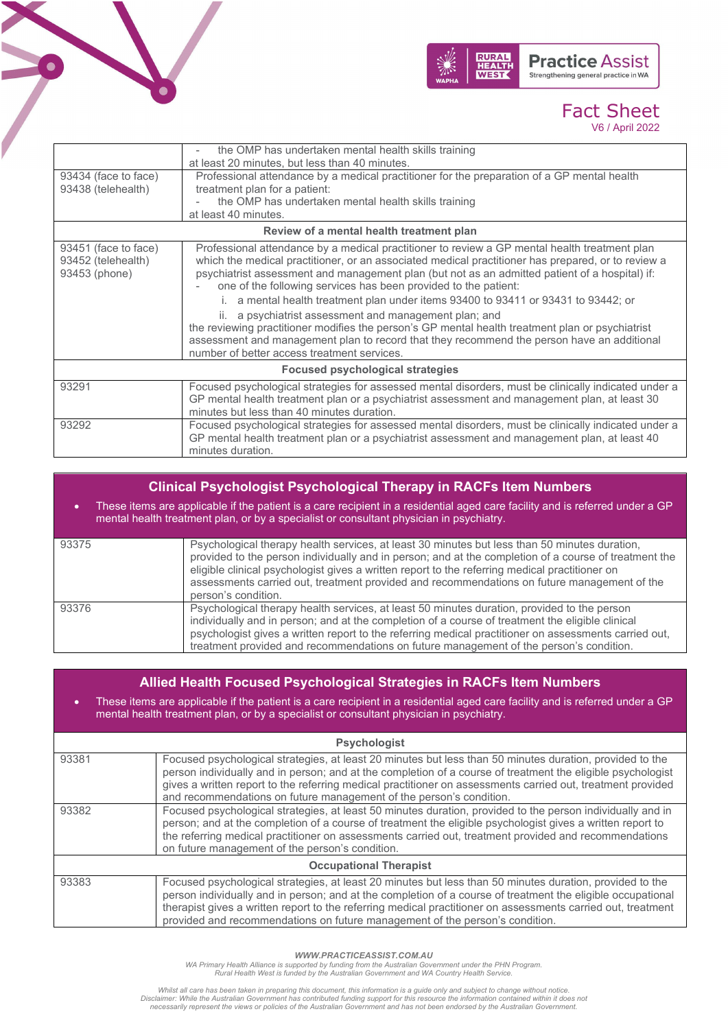



|                                                             | the OMP has undertaken mental health skills training<br>at least 20 minutes, but less than 40 minutes.                                                                                                                                                                                                                                                                                                                                                                                                                                                                                                                                                                                                                                                                    |  |
|-------------------------------------------------------------|---------------------------------------------------------------------------------------------------------------------------------------------------------------------------------------------------------------------------------------------------------------------------------------------------------------------------------------------------------------------------------------------------------------------------------------------------------------------------------------------------------------------------------------------------------------------------------------------------------------------------------------------------------------------------------------------------------------------------------------------------------------------------|--|
| 93434 (face to face)<br>93438 (telehealth)                  | Professional attendance by a medical practitioner for the preparation of a GP mental health<br>treatment plan for a patient:<br>the OMP has undertaken mental health skills training<br>at least 40 minutes.                                                                                                                                                                                                                                                                                                                                                                                                                                                                                                                                                              |  |
| Review of a mental health treatment plan                    |                                                                                                                                                                                                                                                                                                                                                                                                                                                                                                                                                                                                                                                                                                                                                                           |  |
| 93451 (face to face)<br>93452 (telehealth)<br>93453 (phone) | Professional attendance by a medical practitioner to review a GP mental health treatment plan<br>which the medical practitioner, or an associated medical practitioner has prepared, or to review a<br>psychiatrist assessment and management plan (but not as an admitted patient of a hospital) if:<br>one of the following services has been provided to the patient:<br>i. a mental health treatment plan under items 93400 to 93411 or 93431 to 93442; or<br>ii. a psychiatrist assessment and management plan; and<br>the reviewing practitioner modifies the person's GP mental health treatment plan or psychiatrist<br>assessment and management plan to record that they recommend the person have an additional<br>number of better access treatment services. |  |
| <b>Focused psychological strategies</b>                     |                                                                                                                                                                                                                                                                                                                                                                                                                                                                                                                                                                                                                                                                                                                                                                           |  |
| 93291                                                       | Focused psychological strategies for assessed mental disorders, must be clinically indicated under a<br>GP mental health treatment plan or a psychiatrist assessment and management plan, at least 30<br>minutes but less than 40 minutes duration.                                                                                                                                                                                                                                                                                                                                                                                                                                                                                                                       |  |
| 93292                                                       | Focused psychological strategies for assessed mental disorders, must be clinically indicated under a<br>GP mental health treatment plan or a psychiatrist assessment and management plan, at least 40<br>minutes duration.                                                                                                                                                                                                                                                                                                                                                                                                                                                                                                                                                |  |

| <b>Clinical Psychologist Psychological Therapy in RACFs Item Numbers</b>                                                                                                                                                     |                                                                                                                                                                                                                                                                                                                                                                                                                                |  |
|------------------------------------------------------------------------------------------------------------------------------------------------------------------------------------------------------------------------------|--------------------------------------------------------------------------------------------------------------------------------------------------------------------------------------------------------------------------------------------------------------------------------------------------------------------------------------------------------------------------------------------------------------------------------|--|
| These items are applicable if the patient is a care recipient in a residential aged care facility and is referred under a GP<br>۰<br>mental health treatment plan, or by a specialist or consultant physician in psychiatry. |                                                                                                                                                                                                                                                                                                                                                                                                                                |  |
| 93375                                                                                                                                                                                                                        | Psychological therapy health services, at least 30 minutes but less than 50 minutes duration,<br>provided to the person individually and in person; and at the completion of a course of treatment the<br>eligible clinical psychologist gives a written report to the referring medical practitioner on<br>assessments carried out, treatment provided and recommendations on future management of the<br>person's condition. |  |
| 93376                                                                                                                                                                                                                        | Psychological therapy health services, at least 50 minutes duration, provided to the person<br>individually and in person; and at the completion of a course of treatment the eligible clinical<br>psychologist gives a written report to the referring medical practitioner on assessments carried out,<br>treatment provided and recommendations on future management of the person's condition.                             |  |

| Allied Health Focused Psychological Strategies in RACFs Item Numbers<br>These items are applicable if the patient is a care recipient in a residential aged care facility and is referred under a GP<br>$\bullet$<br>mental health treatment plan, or by a specialist or consultant physician in psychiatry. |                                                                                                                                                                                                                                                                                                                                                                                                                         |  |
|--------------------------------------------------------------------------------------------------------------------------------------------------------------------------------------------------------------------------------------------------------------------------------------------------------------|-------------------------------------------------------------------------------------------------------------------------------------------------------------------------------------------------------------------------------------------------------------------------------------------------------------------------------------------------------------------------------------------------------------------------|--|
| <b>Psychologist</b>                                                                                                                                                                                                                                                                                          |                                                                                                                                                                                                                                                                                                                                                                                                                         |  |
| 93381                                                                                                                                                                                                                                                                                                        | Focused psychological strategies, at least 20 minutes but less than 50 minutes duration, provided to the<br>person individually and in person; and at the completion of a course of treatment the eligible psychologist<br>gives a written report to the referring medical practitioner on assessments carried out, treatment provided<br>and recommendations on future management of the person's condition.           |  |
| 93382                                                                                                                                                                                                                                                                                                        | Focused psychological strategies, at least 50 minutes duration, provided to the person individually and in<br>person; and at the completion of a course of treatment the eligible psychologist gives a written report to<br>the referring medical practitioner on assessments carried out, treatment provided and recommendations<br>on future management of the person's condition.                                    |  |
| <b>Occupational Therapist</b>                                                                                                                                                                                                                                                                                |                                                                                                                                                                                                                                                                                                                                                                                                                         |  |
| 93383                                                                                                                                                                                                                                                                                                        | Focused psychological strategies, at least 20 minutes but less than 50 minutes duration, provided to the<br>person individually and in person; and at the completion of a course of treatment the eligible occupational<br>therapist gives a written report to the referring medical practitioner on assessments carried out, treatment<br>provided and recommendations on future management of the person's condition. |  |

WWW.PRACTICEASSIST.COM.AU<br>WA Primary Health Alliance is supported by funding from the Australian Government under the PHN Program.<br>Rural Health West is funded by the Australian Government and WA Country Health Service.

Whilst all care has been taken in preparing this document, this information is a guide only and subject to change without notice.<br>Disclaimer: While the Australian Government has contributed funding support for this resourc